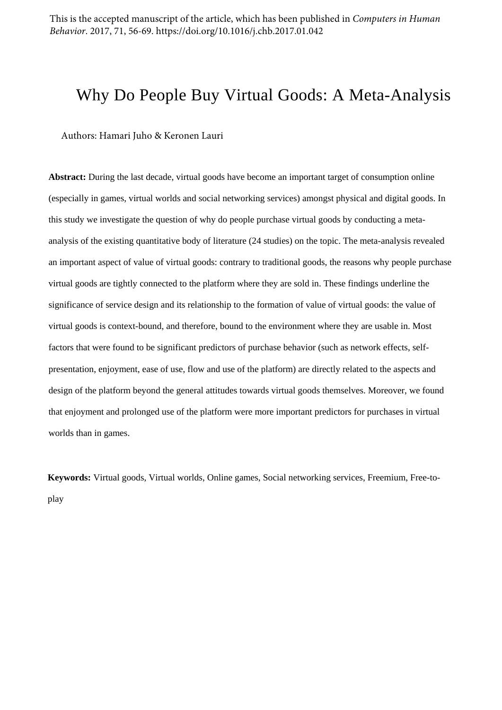This is the accepted manuscript of the article, which has been published in *Computers in Human Behavior*. 2017, 71, 56-69. https://doi.org/10.1016/j.chb.2017.01.042

# Why Do People Buy Virtual Goods: A Meta-Analysis

Authors: Hamari Juho & Keronen Lauri

**Abstract:** During the last decade, virtual goods have become an important target of consumption online (especially in games, virtual worlds and social networking services) amongst physical and digital goods. In this study we investigate the question of why do people purchase virtual goods by conducting a metaanalysis of the existing quantitative body of literature (24 studies) on the topic. The meta-analysis revealed an important aspect of value of virtual goods: contrary to traditional goods, the reasons why people purchase virtual goods are tightly connected to the platform where they are sold in. These findings underline the significance of service design and its relationship to the formation of value of virtual goods: the value of virtual goods is context-bound, and therefore, bound to the environment where they are usable in. Most factors that were found to be significant predictors of purchase behavior (such as network effects, selfpresentation, enjoyment, ease of use, flow and use of the platform) are directly related to the aspects and design of the platform beyond the general attitudes towards virtual goods themselves. Moreover, we found that enjoyment and prolonged use of the platform were more important predictors for purchases in virtual worlds than in games.

**Keywords:** Virtual goods, Virtual worlds, Online games, Social networking services, Freemium, Free-toplay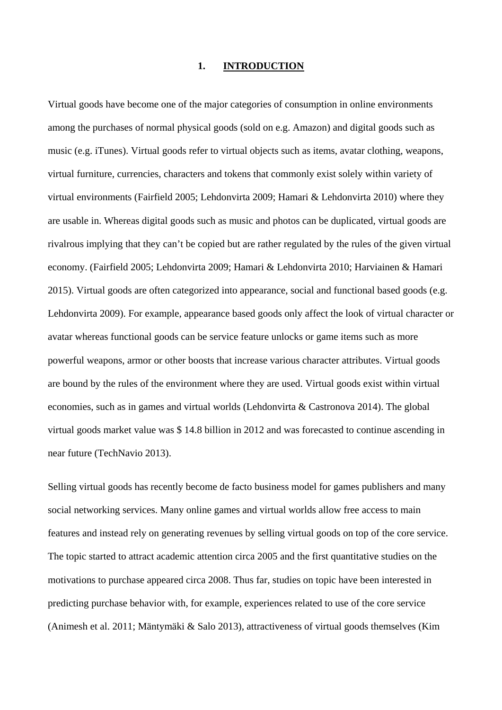## **1. INTRODUCTION**

Virtual goods have become one of the major categories of consumption in online environments among the purchases of normal physical goods (sold on e.g. Amazon) and digital goods such as music (e.g. iTunes). Virtual goods refer to virtual objects such as items, avatar clothing, weapons, virtual furniture, currencies, characters and tokens that commonly exist solely within variety of virtual environments (Fairfield 2005; Lehdonvirta 2009; Hamari & Lehdonvirta 2010) where they are usable in. Whereas digital goods such as music and photos can be duplicated, virtual goods are rivalrous implying that they can't be copied but are rather regulated by the rules of the given virtual economy. (Fairfield 2005; Lehdonvirta 2009; Hamari & Lehdonvirta 2010; Harviainen & Hamari 2015). Virtual goods are often categorized into appearance, social and functional based goods (e.g. Lehdonvirta 2009). For example, appearance based goods only affect the look of virtual character or avatar whereas functional goods can be service feature unlocks or game items such as more powerful weapons, armor or other boosts that increase various character attributes. Virtual goods are bound by the rules of the environment where they are used. Virtual goods exist within virtual economies, such as in games and virtual worlds (Lehdonvirta & Castronova 2014). The global virtual goods market value was \$ 14.8 billion in 2012 and was forecasted to continue ascending in near future (TechNavio 2013).

Selling virtual goods has recently become de facto business model for games publishers and many social networking services. Many online games and virtual worlds allow free access to main features and instead rely on generating revenues by selling virtual goods on top of the core service. The topic started to attract academic attention circa 2005 and the first quantitative studies on the motivations to purchase appeared circa 2008. Thus far, studies on topic have been interested in predicting purchase behavior with, for example, experiences related to use of the core service (Animesh et al. 2011; Mäntymäki & Salo 2013), attractiveness of virtual goods themselves (Kim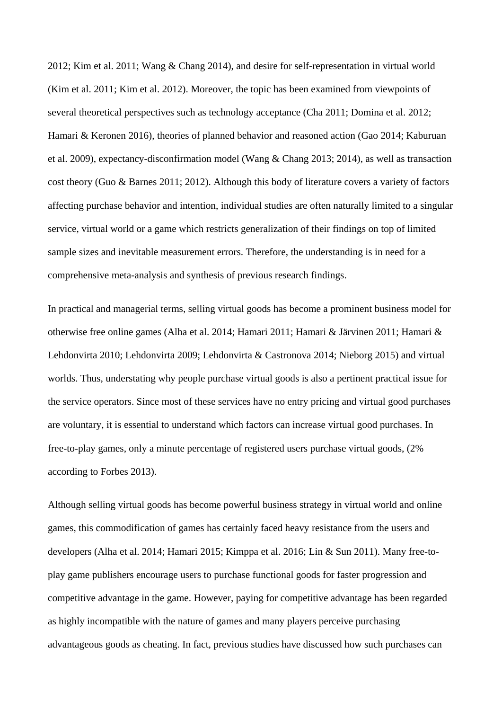2012; Kim et al. 2011; Wang & Chang 2014), and desire for self-representation in virtual world (Kim et al. 2011; Kim et al. 2012). Moreover, the topic has been examined from viewpoints of several theoretical perspectives such as technology acceptance (Cha 2011; Domina et al. 2012; Hamari & Keronen 2016), theories of planned behavior and reasoned action (Gao 2014; Kaburuan et al. 2009), expectancy-disconfirmation model (Wang & Chang 2013; 2014), as well as transaction cost theory (Guo & Barnes 2011; 2012). Although this body of literature covers a variety of factors affecting purchase behavior and intention, individual studies are often naturally limited to a singular service, virtual world or a game which restricts generalization of their findings on top of limited sample sizes and inevitable measurement errors. Therefore, the understanding is in need for a comprehensive meta-analysis and synthesis of previous research findings.

In practical and managerial terms, selling virtual goods has become a prominent business model for otherwise free online games (Alha et al. 2014; Hamari 2011; Hamari & Järvinen 2011; Hamari & Lehdonvirta 2010; Lehdonvirta 2009; Lehdonvirta & Castronova 2014; Nieborg 2015) and virtual worlds. Thus, understating why people purchase virtual goods is also a pertinent practical issue for the service operators. Since most of these services have no entry pricing and virtual good purchases are voluntary, it is essential to understand which factors can increase virtual good purchases. In free-to-play games, only a minute percentage of registered users purchase virtual goods, (2% according to Forbes 2013).

Although selling virtual goods has become powerful business strategy in virtual world and online games, this commodification of games has certainly faced heavy resistance from the users and developers (Alha et al. 2014; Hamari 2015; Kimppa et al. 2016; Lin & Sun 2011). Many free-toplay game publishers encourage users to purchase functional goods for faster progression and competitive advantage in the game. However, paying for competitive advantage has been regarded as highly incompatible with the nature of games and many players perceive purchasing advantageous goods as cheating. In fact, previous studies have discussed how such purchases can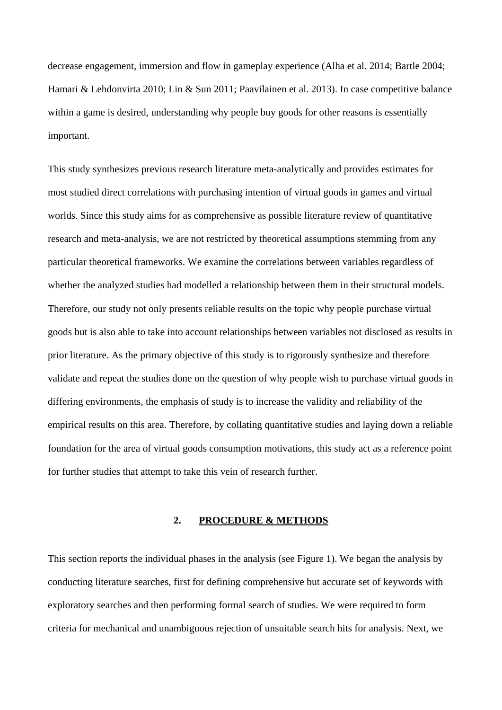decrease engagement, immersion and flow in gameplay experience (Alha et al. 2014; Bartle 2004; Hamari & Lehdonvirta 2010; Lin & Sun 2011; Paavilainen et al. 2013). In case competitive balance within a game is desired, understanding why people buy goods for other reasons is essentially important.

This study synthesizes previous research literature meta-analytically and provides estimates for most studied direct correlations with purchasing intention of virtual goods in games and virtual worlds. Since this study aims for as comprehensive as possible literature review of quantitative research and meta-analysis, we are not restricted by theoretical assumptions stemming from any particular theoretical frameworks. We examine the correlations between variables regardless of whether the analyzed studies had modelled a relationship between them in their structural models. Therefore, our study not only presents reliable results on the topic why people purchase virtual goods but is also able to take into account relationships between variables not disclosed as results in prior literature. As the primary objective of this study is to rigorously synthesize and therefore validate and repeat the studies done on the question of why people wish to purchase virtual goods in differing environments, the emphasis of study is to increase the validity and reliability of the empirical results on this area. Therefore, by collating quantitative studies and laying down a reliable foundation for the area of virtual goods consumption motivations, this study act as a reference point for further studies that attempt to take this vein of research further.

## **2. PROCEDURE & METHODS**

This section reports the individual phases in the analysis (see [Figure 1\)](#page-4-0). We began the analysis by conducting literature searches, first for defining comprehensive but accurate set of keywords with exploratory searches and then performing formal search of studies. We were required to form criteria for mechanical and unambiguous rejection of unsuitable search hits for analysis. Next, we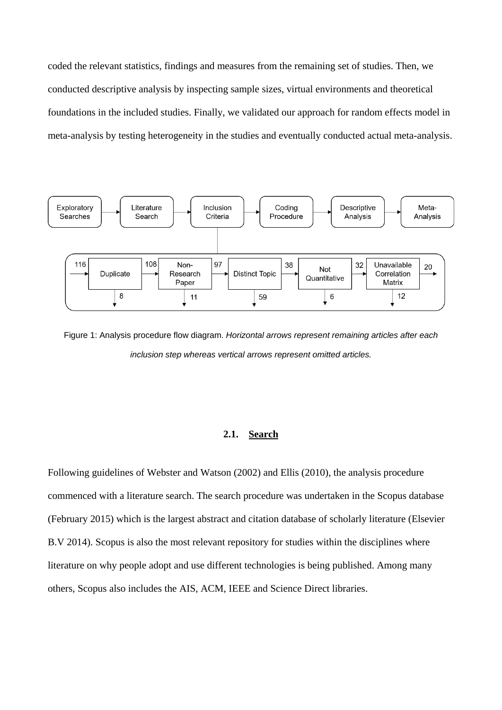coded the relevant statistics, findings and measures from the remaining set of studies. Then, we conducted descriptive analysis by inspecting sample sizes, virtual environments and theoretical foundations in the included studies. Finally, we validated our approach for random effects model in meta-analysis by testing heterogeneity in the studies and eventually conducted actual meta-analysis.



<span id="page-4-0"></span>Figure 1: Analysis procedure flow diagram. *Horizontal arrows represent remaining articles after each inclusion step whereas vertical arrows represent omitted articles.*

## **2.1. Search**

Following guidelines of Webster and Watson (2002) and Ellis (2010), the analysis procedure commenced with a literature search. The search procedure was undertaken in the Scopus database (February 2015) which is the largest abstract and citation database of scholarly literature (Elsevier B.V 2014). Scopus is also the most relevant repository for studies within the disciplines where literature on why people adopt and use different technologies is being published. Among many others, Scopus also includes the AIS, ACM, IEEE and Science Direct libraries.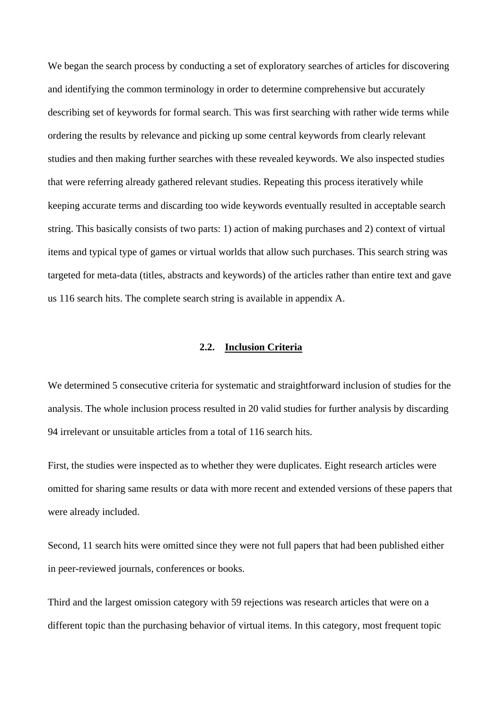We began the search process by conducting a set of exploratory searches of articles for discovering and identifying the common terminology in order to determine comprehensive but accurately describing set of keywords for formal search. This was first searching with rather wide terms while ordering the results by relevance and picking up some central keywords from clearly relevant studies and then making further searches with these revealed keywords. We also inspected studies that were referring already gathered relevant studies. Repeating this process iteratively while keeping accurate terms and discarding too wide keywords eventually resulted in acceptable search string. This basically consists of two parts: 1) action of making purchases and 2) context of virtual items and typical type of games or virtual worlds that allow such purchases. This search string was targeted for meta-data (titles, abstracts and keywords) of the articles rather than entire text and gave us 116 search hits. The complete search string is available in appendix [A.](#page-38-0)

## **2.2. Inclusion Criteria**

We determined 5 consecutive criteria for systematic and straightforward inclusion of studies for the analysis. The whole inclusion process resulted in 20 valid studies for further analysis by discarding 94 irrelevant or unsuitable articles from a total of 116 search hits.

First, the studies were inspected as to whether they were duplicates. Eight research articles were omitted for sharing same results or data with more recent and extended versions of these papers that were already included.

Second, 11 search hits were omitted since they were not full papers that had been published either in peer-reviewed journals, conferences or books.

Third and the largest omission category with 59 rejections was research articles that were on a different topic than the purchasing behavior of virtual items. In this category, most frequent topic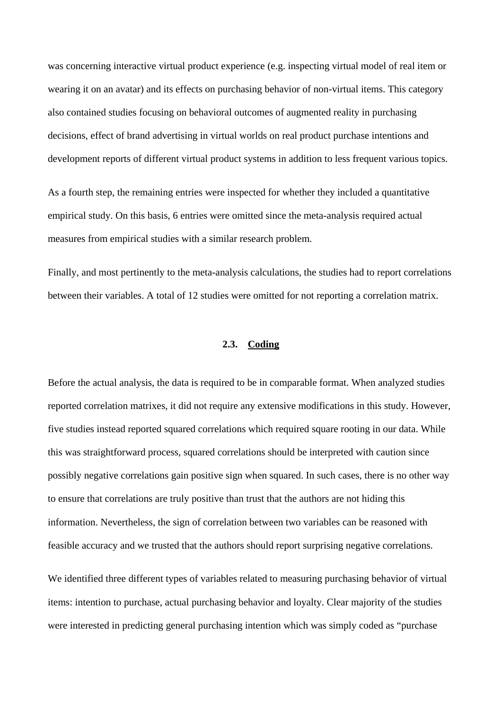was concerning interactive virtual product experience (e.g. inspecting virtual model of real item or wearing it on an avatar) and its effects on purchasing behavior of non-virtual items. This category also contained studies focusing on behavioral outcomes of augmented reality in purchasing decisions, effect of brand advertising in virtual worlds on real product purchase intentions and development reports of different virtual product systems in addition to less frequent various topics.

As a fourth step, the remaining entries were inspected for whether they included a quantitative empirical study. On this basis, 6 entries were omitted since the meta-analysis required actual measures from empirical studies with a similar research problem.

Finally, and most pertinently to the meta-analysis calculations, the studies had to report correlations between their variables. A total of 12 studies were omitted for not reporting a correlation matrix.

## **2.3. Coding**

Before the actual analysis, the data is required to be in comparable format. When analyzed studies reported correlation matrixes, it did not require any extensive modifications in this study. However, five studies instead reported squared correlations which required square rooting in our data. While this was straightforward process, squared correlations should be interpreted with caution since possibly negative correlations gain positive sign when squared. In such cases, there is no other way to ensure that correlations are truly positive than trust that the authors are not hiding this information. Nevertheless, the sign of correlation between two variables can be reasoned with feasible accuracy and we trusted that the authors should report surprising negative correlations.

We identified three different types of variables related to measuring purchasing behavior of virtual items: intention to purchase, actual purchasing behavior and loyalty. Clear majority of the studies were interested in predicting general purchasing intention which was simply coded as "purchase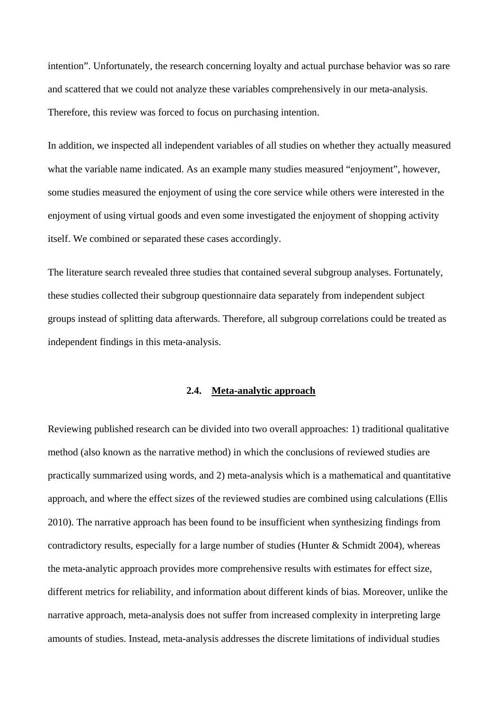intention". Unfortunately, the research concerning loyalty and actual purchase behavior was so rare and scattered that we could not analyze these variables comprehensively in our meta-analysis. Therefore, this review was forced to focus on purchasing intention.

In addition, we inspected all independent variables of all studies on whether they actually measured what the variable name indicated. As an example many studies measured "enjoyment", however, some studies measured the enjoyment of using the core service while others were interested in the enjoyment of using virtual goods and even some investigated the enjoyment of shopping activity itself. We combined or separated these cases accordingly.

The literature search revealed three studies that contained several subgroup analyses. Fortunately, these studies collected their subgroup questionnaire data separately from independent subject groups instead of splitting data afterwards. Therefore, all subgroup correlations could be treated as independent findings in this meta-analysis.

#### **2.4. Meta-analytic approach**

Reviewing published research can be divided into two overall approaches: 1) traditional qualitative method (also known as the narrative method) in which the conclusions of reviewed studies are practically summarized using words, and 2) meta-analysis which is a mathematical and quantitative approach, and where the effect sizes of the reviewed studies are combined using calculations (Ellis 2010). The narrative approach has been found to be insufficient when synthesizing findings from contradictory results, especially for a large number of studies (Hunter  $&$  Schmidt 2004), whereas the meta-analytic approach provides more comprehensive results with estimates for effect size, different metrics for reliability, and information about different kinds of bias. Moreover, unlike the narrative approach, meta-analysis does not suffer from increased complexity in interpreting large amounts of studies. Instead, meta-analysis addresses the discrete limitations of individual studies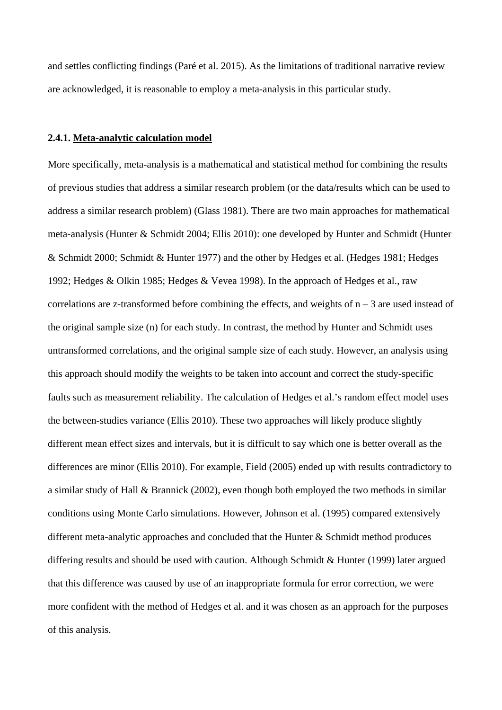and settles conflicting findings (Paré et al. 2015). As the limitations of traditional narrative review are acknowledged, it is reasonable to employ a meta-analysis in this particular study.

## **2.4.1. Meta-analytic calculation model**

More specifically, meta-analysis is a mathematical and statistical method for combining the results of previous studies that address a similar research problem (or the data/results which can be used to address a similar research problem) (Glass 1981). There are two main approaches for mathematical meta-analysis (Hunter & Schmidt 2004; Ellis 2010): one developed by Hunter and Schmidt (Hunter & Schmidt 2000; Schmidt & Hunter 1977) and the other by Hedges et al. (Hedges 1981; Hedges 1992; Hedges & Olkin 1985; Hedges & Vevea 1998). In the approach of Hedges et al., raw correlations are z-transformed before combining the effects, and weights of  $n - 3$  are used instead of the original sample size (n) for each study. In contrast, the method by Hunter and Schmidt uses untransformed correlations, and the original sample size of each study. However, an analysis using this approach should modify the weights to be taken into account and correct the study-specific faults such as measurement reliability. The calculation of Hedges et al.'s random effect model uses the between-studies variance (Ellis 2010). These two approaches will likely produce slightly different mean effect sizes and intervals, but it is difficult to say which one is better overall as the differences are minor (Ellis 2010). For example, Field (2005) ended up with results contradictory to a similar study of Hall & Brannick (2002), even though both employed the two methods in similar conditions using Monte Carlo simulations. However, Johnson et al. (1995) compared extensively different meta-analytic approaches and concluded that the Hunter & Schmidt method produces differing results and should be used with caution. Although Schmidt & Hunter (1999) later argued that this difference was caused by use of an inappropriate formula for error correction, we were more confident with the method of Hedges et al. and it was chosen as an approach for the purposes of this analysis.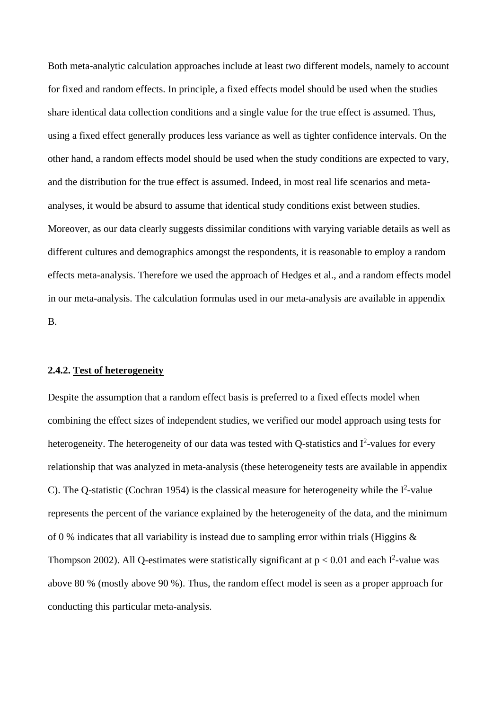Both meta-analytic calculation approaches include at least two different models, namely to account for fixed and random effects. In principle, a fixed effects model should be used when the studies share identical data collection conditions and a single value for the true effect is assumed. Thus, using a fixed effect generally produces less variance as well as tighter confidence intervals. On the other hand, a random effects model should be used when the study conditions are expected to vary, and the distribution for the true effect is assumed. Indeed, in most real life scenarios and metaanalyses, it would be absurd to assume that identical study conditions exist between studies. Moreover, as our data clearly suggests dissimilar conditions with varying variable details as well as different cultures and demographics amongst the respondents, it is reasonable to employ a random effects meta-analysis. Therefore we used the approach of Hedges et al., and a random effects model in our meta-analysis. The calculation formulas used in our meta-analysis are available in appendix [B.](#page-38-1)

#### **2.4.2. Test of heterogeneity**

Despite the assumption that a random effect basis is preferred to a fixed effects model when combining the effect sizes of independent studies, we verified our model approach using tests for heterogeneity. The heterogeneity of our data was tested with Q-statistics and  $I^2$ -values for every relationship that was analyzed in meta-analysis (these heterogeneity tests are available in appendix [C\)](#page-39-0). The Q-statistic (Cochran 1954) is the classical measure for heterogeneity while the  $I^2$ -value represents the percent of the variance explained by the heterogeneity of the data, and the minimum of 0 % indicates that all variability is instead due to sampling error within trials (Higgins  $\&$ Thompson 2002). All Q-estimates were statistically significant at  $p < 0.01$  and each  $I^2$ -value was above 80 % (mostly above 90 %). Thus, the random effect model is seen as a proper approach for conducting this particular meta-analysis.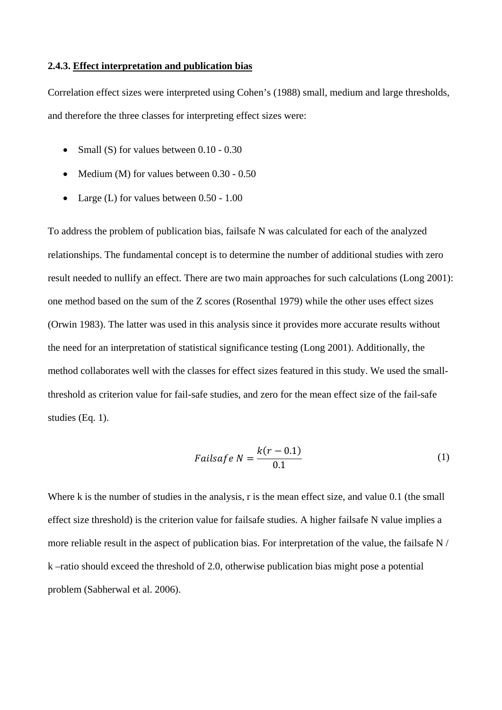## **2.4.3. Effect interpretation and publication bias**

Correlation effect sizes were interpreted using Cohen's (1988) small, medium and large thresholds, and therefore the three classes for interpreting effect sizes were:

- Small (S) for values between 0.10 0.30
- Medium (M) for values between 0.30 0.50
- Large (L) for values between  $0.50 1.00$

To address the problem of publication bias, failsafe N was calculated for each of the analyzed relationships. The fundamental concept is to determine the number of additional studies with zero result needed to nullify an effect. There are two main approaches for such calculations (Long 2001): one method based on the sum of the Z scores (Rosenthal 1979) while the other uses effect sizes (Orwin 1983). The latter was used in this analysis since it provides more accurate results without the need for an interpretation of statistical significance testing (Long 2001). Additionally, the method collaborates well with the classes for effect sizes featured in this study. We used the smallthreshold as criterion value for fail-safe studies, and zero for the mean effect size of the fail-safe studies (Eq. 1).

$$
Failsafe N = \frac{k(r - 0.1)}{0.1}
$$
 (1)

Where k is the number of studies in the analysis, r is the mean effect size, and value 0.1 (the small effect size threshold) is the criterion value for failsafe studies. A higher failsafe N value implies a more reliable result in the aspect of publication bias. For interpretation of the value, the failsafe N / k –ratio should exceed the threshold of 2.0, otherwise publication bias might pose a potential problem (Sabherwal et al. 2006).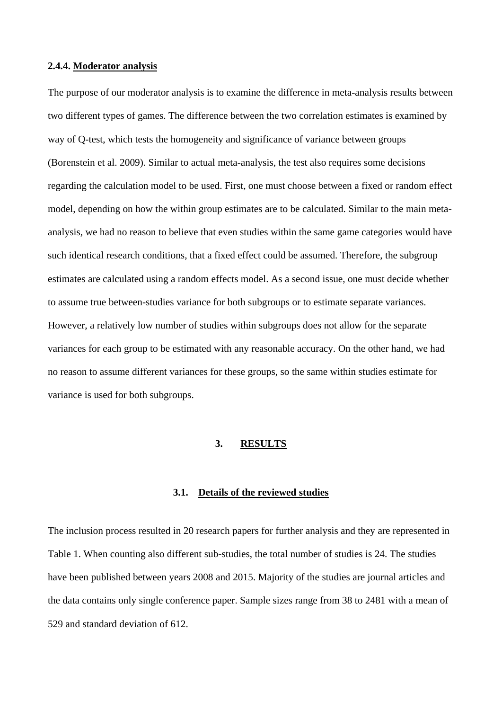## **2.4.4. Moderator analysis**

The purpose of our moderator analysis is to examine the difference in meta-analysis results between two different types of games. The difference between the two correlation estimates is examined by way of Q-test, which tests the homogeneity and significance of variance between groups (Borenstein et al. 2009). Similar to actual meta-analysis, the test also requires some decisions regarding the calculation model to be used. First, one must choose between a fixed or random effect model, depending on how the within group estimates are to be calculated. Similar to the main metaanalysis, we had no reason to believe that even studies within the same game categories would have such identical research conditions, that a fixed effect could be assumed. Therefore, the subgroup estimates are calculated using a random effects model. As a second issue, one must decide whether to assume true between-studies variance for both subgroups or to estimate separate variances. However, a relatively low number of studies within subgroups does not allow for the separate variances for each group to be estimated with any reasonable accuracy. On the other hand, we had no reason to assume different variances for these groups, so the same within studies estimate for variance is used for both subgroups.

#### **3. RESULTS**

## **3.1. Details of the reviewed studies**

The inclusion process resulted in 20 research papers for further analysis and they are represented in [Table 1.](#page-12-0) When counting also different sub-studies, the total number of studies is 24. The studies have been published between years 2008 and 2015. Majority of the studies are journal articles and the data contains only single conference paper. Sample sizes range from 38 to 2481 with a mean of 529 and standard deviation of 612.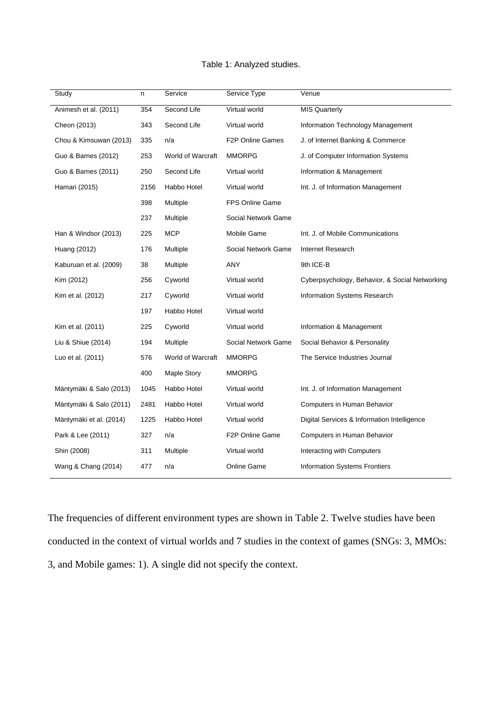<span id="page-12-0"></span>

| Study                   | n    | Service           | Service Type            | Venue                                          |
|-------------------------|------|-------------------|-------------------------|------------------------------------------------|
| Animesh et al. (2011)   | 354  | Second Life       | Virtual world           | <b>MIS Quarterly</b>                           |
| Cheon (2013)            | 343  | Second Life       | Virtual world           | Information Technology Management              |
| Chou & Kimsuwan (2013)  | 335  | n/a               | <b>F2P Online Games</b> | J. of Internet Banking & Commerce              |
| Guo & Barnes (2012)     | 253  | World of Warcraft | <b>MMORPG</b>           | J. of Computer Information Systems             |
| Guo & Barnes (2011)     | 250  | Second Life       | Virtual world           | Information & Management                       |
| Hamari (2015)           | 2156 | Habbo Hotel       | Virtual world           | Int. J. of Information Management              |
|                         | 398  | Multiple          | <b>FPS Online Game</b>  |                                                |
|                         | 237  | Multiple          | Social Network Game     |                                                |
| Han & Windsor (2013)    | 225  | <b>MCP</b>        | Mobile Game             | Int. J. of Mobile Communications               |
| Huang (2012)            | 176  | Multiple          | Social Network Game     | Internet Research                              |
| Kaburuan et al. (2009)  | 38   | Multiple          | ANY                     | 9th ICE-B                                      |
| Kim (2012)              | 256  | Cyworld           | Virtual world           | Cyberpsychology, Behavior, & Social Networking |
| Kim et al. (2012)       | 217  | Cyworld           | Virtual world           | Information Systems Research                   |
|                         | 197  | Habbo Hotel       | Virtual world           |                                                |
| Kim et al. (2011)       | 225  | Cyworld           | Virtual world           | Information & Management                       |
| Liu & Shiue (2014)      | 194  | Multiple          | Social Network Game     | Social Behavior & Personality                  |
| Luo et al. (2011)       | 576  | World of Warcraft | <b>MMORPG</b>           | The Service Industries Journal                 |
|                         | 400  | Maple Story       | <b>MMORPG</b>           |                                                |
| Mäntymäki & Salo (2013) | 1045 | Habbo Hotel       | Virtual world           | Int. J. of Information Management              |
| Mäntymäki & Salo (2011) | 2481 | Habbo Hotel       | Virtual world           | Computers in Human Behavior                    |
| Mäntymäki et al. (2014) | 1225 | Habbo Hotel       | Virtual world           | Digital Services & Information Intelligence    |
| Park & Lee (2011)       | 327  | n/a               | F2P Online Game         | Computers in Human Behavior                    |
| Shin (2008)             | 311  | Multiple          | Virtual world           | Interacting with Computers                     |
| Wang & Chang (2014)     | 477  | n/a               | Online Game             | <b>Information Systems Frontiers</b>           |

## Table 1: Analyzed studies.

The frequencies of different environment types are shown in [Table 2.](#page-13-0) Twelve studies have been conducted in the context of virtual worlds and 7 studies in the context of games (SNGs: 3, MMOs: 3, and Mobile games: 1). A single did not specify the context.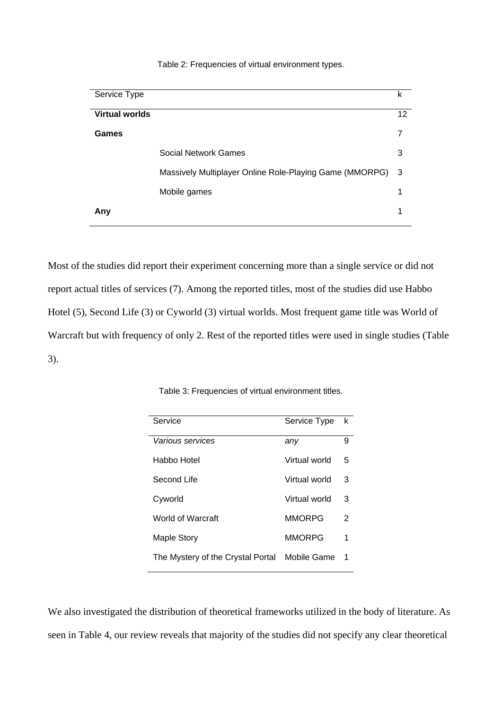<span id="page-13-0"></span>

| Service Type          |                                                         | k   |
|-----------------------|---------------------------------------------------------|-----|
| <b>Virtual worlds</b> |                                                         | 12  |
| Games                 |                                                         |     |
|                       | Social Network Games                                    | 3   |
|                       | Massively Multiplayer Online Role-Playing Game (MMORPG) | - 3 |
|                       | Mobile games                                            | 1   |
| Any                   |                                                         | 1   |

Table 2: Frequencies of virtual environment types.

Most of the studies did report their experiment concerning more than a single service or did not report actual titles of services (7). Among the reported titles, most of the studies did use Habbo Hotel (5), Second Life (3) or Cyworld (3) virtual worlds. Most frequent game title was World of Warcraft but with frequency of only 2. Rest of the reported titles were used in single studies (Table 3).

| Service                                       | Service Type  | k |
|-----------------------------------------------|---------------|---|
| Various services                              | any           | 9 |
| Habbo Hotel                                   | Virtual world | 5 |
| Second Life                                   | Virtual world | 3 |
| Cyworld                                       | Virtual world | 3 |
| World of Warcraft                             | <b>MMORPG</b> | 2 |
| Maple Story                                   | <b>MMORPG</b> | 1 |
| The Mystery of the Crystal Portal Mobile Game |               | 1 |

Table 3: Frequencies of virtual environment titles.

We also investigated the distribution of theoretical frameworks utilized in the body of literature. As seen in [Table 4,](#page-14-0) our review reveals that majority of the studies did not specify any clear theoretical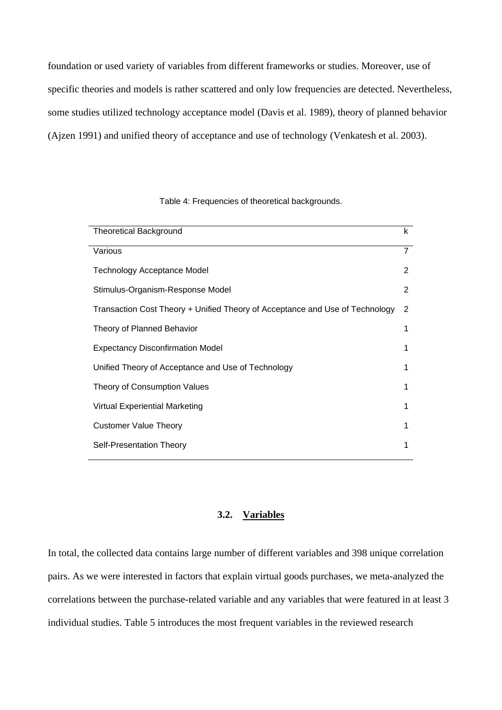foundation or used variety of variables from different frameworks or studies. Moreover, use of specific theories and models is rather scattered and only low frequencies are detected. Nevertheless, some studies utilized technology acceptance model (Davis et al. 1989), theory of planned behavior (Ajzen 1991) and unified theory of acceptance and use of technology (Venkatesh et al. 2003).

<span id="page-14-0"></span>

| <b>Theoretical Background</b>                                                | k              |
|------------------------------------------------------------------------------|----------------|
| Various                                                                      | $\overline{7}$ |
| Technology Acceptance Model                                                  | 2              |
| Stimulus-Organism-Response Model                                             | 2              |
| Transaction Cost Theory + Unified Theory of Acceptance and Use of Technology | 2              |
| Theory of Planned Behavior                                                   | 1              |
| <b>Expectancy Disconfirmation Model</b>                                      | 1              |
| Unified Theory of Acceptance and Use of Technology                           | 1              |
| Theory of Consumption Values                                                 | 1              |
| <b>Virtual Experiential Marketing</b>                                        | 1              |
| <b>Customer Value Theory</b>                                                 | 1              |
| Self-Presentation Theory                                                     | 1              |

Table 4: Frequencies of theoretical backgrounds.

## **3.2. Variables**

In total, the collected data contains large number of different variables and 398 unique correlation pairs. As we were interested in factors that explain virtual goods purchases, we meta-analyzed the correlations between the purchase-related variable and any variables that were featured in at least 3 individual studies. [Table 5](#page-16-0) introduces the most frequent variables in the reviewed research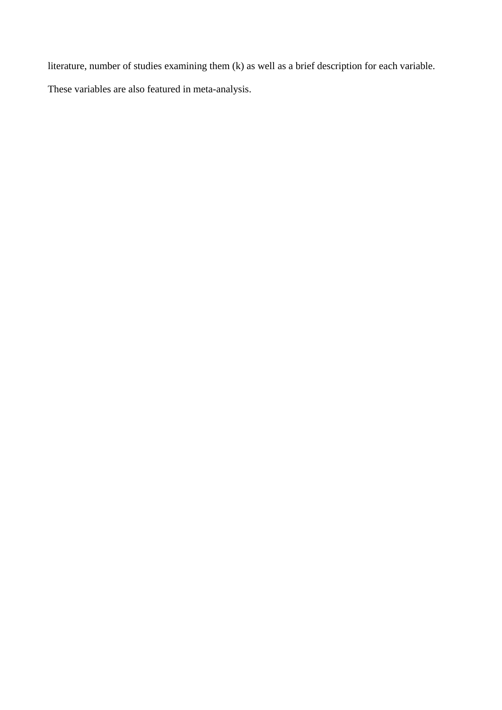literature, number of studies examining them (k) as well as a brief description for each variable. These variables are also featured in meta-analysis.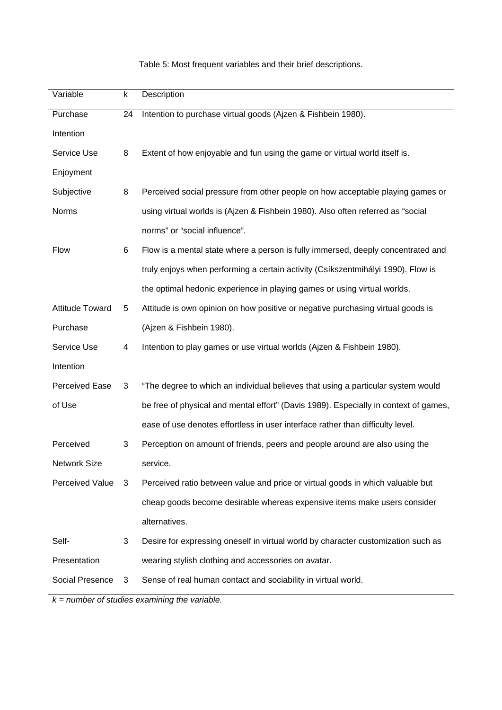<span id="page-16-0"></span>

| Variable               | k  | Description                                                                          |
|------------------------|----|--------------------------------------------------------------------------------------|
| Purchase               | 24 | Intention to purchase virtual goods (Ajzen & Fishbein 1980).                         |
| Intention              |    |                                                                                      |
| Service Use            | 8  | Extent of how enjoyable and fun using the game or virtual world itself is.           |
| Enjoyment              |    |                                                                                      |
| Subjective             | 8  | Perceived social pressure from other people on how acceptable playing games or       |
| Norms                  |    | using virtual worlds is (Ajzen & Fishbein 1980). Also often referred as "social      |
|                        |    | norms" or "social influence".                                                        |
| Flow                   | 6  | Flow is a mental state where a person is fully immersed, deeply concentrated and     |
|                        |    | truly enjoys when performing a certain activity (Csíkszentmihályi 1990). Flow is     |
|                        |    | the optimal hedonic experience in playing games or using virtual worlds.             |
| <b>Attitude Toward</b> | 5  | Attitude is own opinion on how positive or negative purchasing virtual goods is      |
| Purchase               |    | (Ajzen & Fishbein 1980).                                                             |
| Service Use            | 4  | Intention to play games or use virtual worlds (Ajzen & Fishbein 1980).               |
| Intention              |    |                                                                                      |
| <b>Perceived Ease</b>  | 3  | "The degree to which an individual believes that using a particular system would     |
| of Use                 |    | be free of physical and mental effort" (Davis 1989). Especially in context of games, |
|                        |    | ease of use denotes effortless in user interface rather than difficulty level.       |
| Perceived              | 3  | Perception on amount of friends, peers and people around are also using the          |
| Network Size           |    | service.                                                                             |
| Perceived Value        | 3  | Perceived ratio between value and price or virtual goods in which valuable but       |
|                        |    | cheap goods become desirable whereas expensive items make users consider             |
|                        |    | alternatives.                                                                        |
| Self-                  | 3  | Desire for expressing oneself in virtual world by character customization such as    |
| Presentation           |    | wearing stylish clothing and accessories on avatar.                                  |
| Social Presence        | 3  | Sense of real human contact and sociability in virtual world.                        |

Table 5: Most frequent variables and their brief descriptions.

*k = number of studies examining the variable.*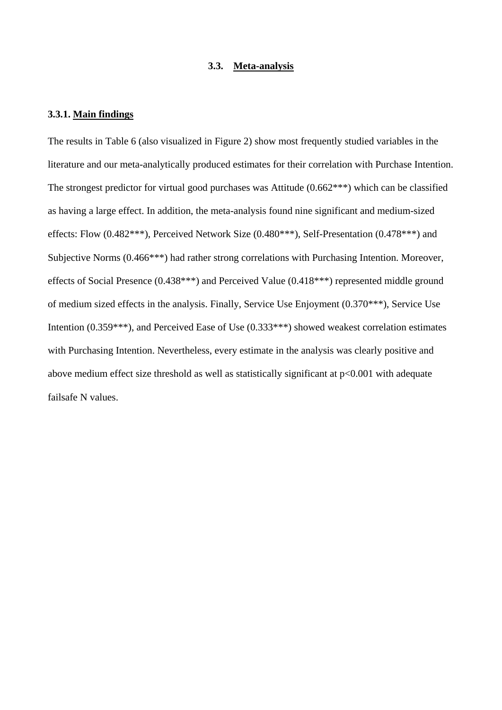## **3.3. Meta-analysis**

## **3.3.1. Main findings**

The results in [Table 6](#page-18-0) (also visualized in [Figure 2\)](#page-19-0) show most frequently studied variables in the literature and our meta-analytically produced estimates for their correlation with Purchase Intention. The strongest predictor for virtual good purchases was Attitude (0.662\*\*\*) which can be classified as having a large effect. In addition, the meta-analysis found nine significant and medium-sized effects: Flow (0.482\*\*\*), Perceived Network Size (0.480\*\*\*), Self-Presentation (0.478\*\*\*) and Subjective Norms (0.466\*\*\*) had rather strong correlations with Purchasing Intention. Moreover, effects of Social Presence (0.438\*\*\*) and Perceived Value (0.418\*\*\*) represented middle ground of medium sized effects in the analysis. Finally, Service Use Enjoyment (0.370\*\*\*), Service Use Intention (0.359\*\*\*), and Perceived Ease of Use (0.333\*\*\*) showed weakest correlation estimates with Purchasing Intention. Nevertheless, every estimate in the analysis was clearly positive and above medium effect size threshold as well as statistically significant at p<0.001 with adequate failsafe N values.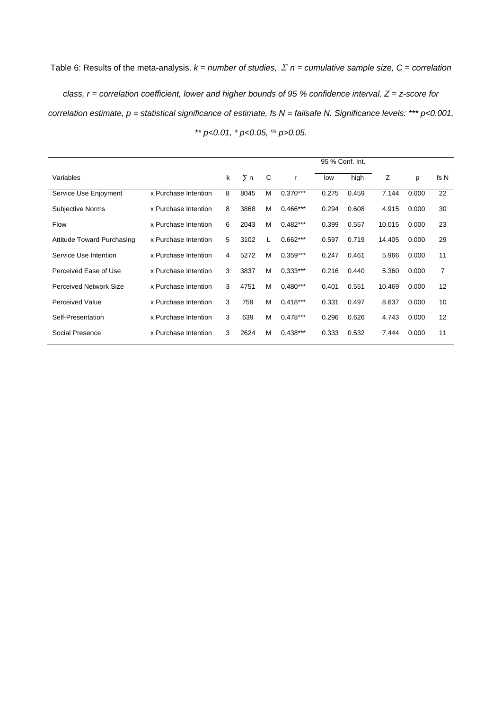<span id="page-18-0"></span>Table 6: Results of the meta-analysis. *k = number of studies,* ∑ *n = cumulative sample size, C = correlation* 

*class, r = correlation coefficient, lower and higher bounds of 95 % confidence interval, Z = z-score for correlation estimate, p = statistical significance of estimate, fs N = failsafe N. Significance levels: \*\*\* p<0.001, \*\* p<0.01, \* p<0.05, ns p>0.05.*

|                                   |                      |   |            |   |            | 95 % Conf. Int. |       |        |       |      |
|-----------------------------------|----------------------|---|------------|---|------------|-----------------|-------|--------|-------|------|
| Variables                         |                      | k | $\Sigma$ n | C | r          | low             | high  | Ζ      | p     | fs N |
| Service Use Enjoyment             | x Purchase Intention | 8 | 8045       | М | $0.370***$ | 0.275           | 0.459 | 7.144  | 0.000 | 22   |
| Subjective Norms                  | x Purchase Intention | 8 | 3868       | М | $0.466***$ | 0.294           | 0.608 | 4.915  | 0.000 | 30   |
| Flow                              | x Purchase Intention | 6 | 2043       | М | $0.482***$ | 0.399           | 0.557 | 10.015 | 0.000 | 23   |
| <b>Attitude Toward Purchasing</b> | x Purchase Intention | 5 | 3102       | L | $0.662***$ | 0.597           | 0.719 | 14.405 | 0.000 | 29   |
| Service Use Intention             | x Purchase Intention | 4 | 5272       | M | $0.359***$ | 0.247           | 0.461 | 5.966  | 0.000 | 11   |
| Perceived Ease of Use             | x Purchase Intention | 3 | 3837       | м | $0.333***$ | 0.216           | 0.440 | 5.360  | 0.000 | 7    |
| <b>Perceived Network Size</b>     | x Purchase Intention | 3 | 4751       | М | $0.480***$ | 0.401           | 0.551 | 10.469 | 0.000 | 12   |
| <b>Perceived Value</b>            | x Purchase Intention | 3 | 759        | M | $0.418***$ | 0.331           | 0.497 | 8.637  | 0.000 | 10   |
| Self-Presentation                 | x Purchase Intention | 3 | 639        | M | $0.478***$ | 0.296           | 0.626 | 4.743  | 0.000 | 12   |
| Social Presence                   | x Purchase Intention | 3 | 2624       | M | $0.438***$ | 0.333           | 0.532 | 7.444  | 0.000 | 11   |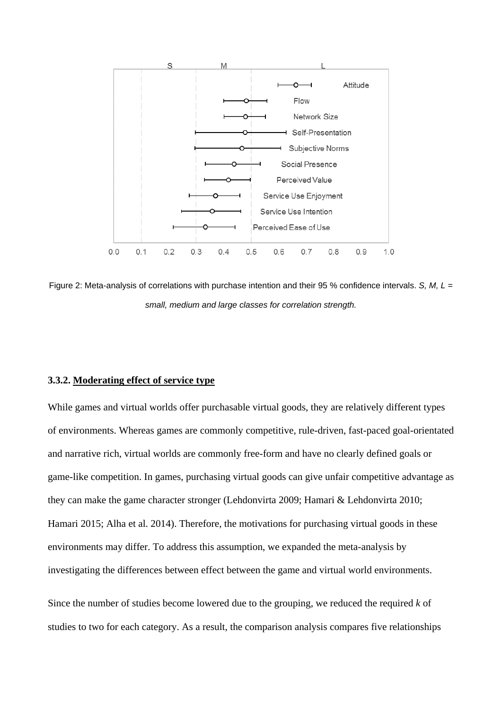

<span id="page-19-0"></span>Figure 2: Meta-analysis of correlations with purchase intention and their 95 % confidence intervals. *S, M, L = small, medium and large classes for correlation strength.*

## **3.3.2. Moderating effect of service type**

While games and virtual worlds offer purchasable virtual goods, they are relatively different types of environments. Whereas games are commonly competitive, rule-driven, fast-paced goal-orientated and narrative rich, virtual worlds are commonly free-form and have no clearly defined goals or game-like competition. In games, purchasing virtual goods can give unfair competitive advantage as they can make the game character stronger (Lehdonvirta 2009; Hamari & Lehdonvirta 2010; Hamari 2015; Alha et al. 2014). Therefore, the motivations for purchasing virtual goods in these environments may differ. To address this assumption, we expanded the meta-analysis by investigating the differences between effect between the game and virtual world environments.

Since the number of studies become lowered due to the grouping, we reduced the required *k* of studies to two for each category. As a result, the comparison analysis compares five relationships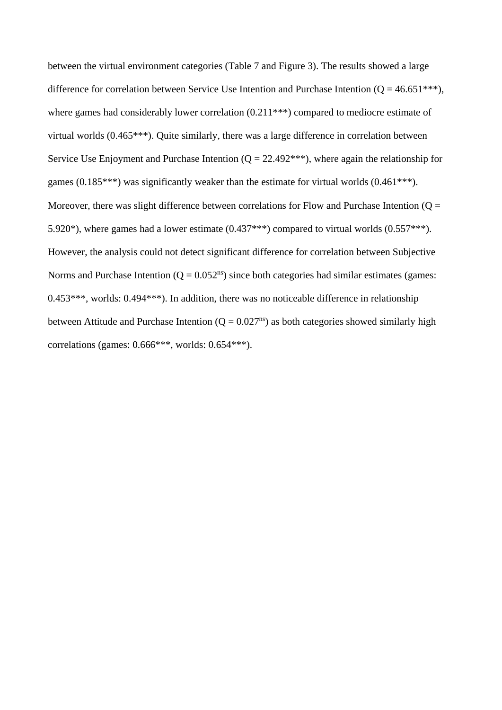between the virtual environment categories [\(Table 7](#page-21-0) and [Figure 3\)](#page-22-0). The results showed a large difference for correlation between Service Use Intention and Purchase Intention ( $Q = 46.651***$ ), where games had considerably lower correlation  $(0.211***)$  compared to mediocre estimate of virtual worlds (0.465\*\*\*). Quite similarly, there was a large difference in correlation between Service Use Enjoyment and Purchase Intention  $(Q = 22.492***)$ , where again the relationship for games  $(0.185***)$  was significantly weaker than the estimate for virtual worlds  $(0.461***)$ . Moreover, there was slight difference between correlations for Flow and Purchase Intention ( $Q =$ 5.920\*), where games had a lower estimate  $(0.437***)$  compared to virtual worlds  $(0.557***)$ . However, the analysis could not detect significant difference for correlation between Subjective Norms and Purchase Intention ( $Q = 0.052<sup>ns</sup>$ ) since both categories had similar estimates (games: 0.453\*\*\*, worlds: 0.494\*\*\*). In addition, there was no noticeable difference in relationship between Attitude and Purchase Intention ( $Q = 0.027<sup>ns</sup>$ ) as both categories showed similarly high correlations (games: 0.666\*\*\*, worlds: 0.654\*\*\*).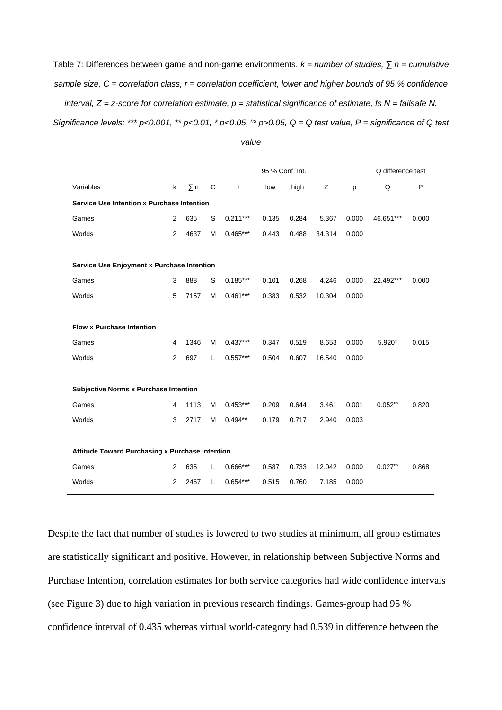<span id="page-21-0"></span>Table 7: Differences between game and non-game environments. *k = number of studies, ∑ n = cumulative sample size, C = correlation class, r = correlation coefficient, lower and higher bounds of 95 % confidence interval, Z = z-score for correlation estimate, p = statistical significance of estimate, fs N = failsafe N. Significance levels: \*\*\* p<0.001, \*\* p<0.01, \* p<0.05, ns p>0.05, Q = Q test value, P = significance of Q test* 

|                                                        |                |            |   |            | 95 % Conf. Int. |       |        |       | Q difference test   |       |
|--------------------------------------------------------|----------------|------------|---|------------|-----------------|-------|--------|-------|---------------------|-------|
| Variables                                              | k              | $\Sigma$ n | C | r          | low             | high  | Ζ      | p     | Q                   | P     |
| <b>Service Use Intention x Purchase Intention</b>      |                |            |   |            |                 |       |        |       |                     |       |
| Games                                                  | 2              | 635        | S | $0.211***$ | 0.135           | 0.284 | 5.367  | 0.000 | 46.651***           | 0.000 |
| Worlds                                                 | $\overline{2}$ | 4637       | M | $0.465***$ | 0.443           | 0.488 | 34.314 | 0.000 |                     |       |
| Service Use Enjoyment x Purchase Intention             |                |            |   |            |                 |       |        |       |                     |       |
| Games                                                  | 3              | 888        | S | $0.185***$ | 0.101           | 0.268 | 4.246  | 0.000 | 22.492***           | 0.000 |
| Worlds                                                 | 5              | 7157       | M | $0.461***$ | 0.383           | 0.532 | 10.304 | 0.000 |                     |       |
| <b>Flow x Purchase Intention</b>                       |                |            |   |            |                 |       |        |       |                     |       |
| Games                                                  | 4              | 1346       | М | $0.437***$ | 0.347           | 0.519 | 8.653  | 0.000 | 5.920*              | 0.015 |
| Worlds                                                 | 2              | 697        | L | $0.557***$ | 0.504           | 0.607 | 16.540 | 0.000 |                     |       |
| <b>Subjective Norms x Purchase Intention</b>           |                |            |   |            |                 |       |        |       |                     |       |
| Games                                                  | 4              | 1113       | м | $0.453***$ | 0.209           | 0.644 | 3.461  | 0.001 | 0.052 <sup>ns</sup> | 0.820 |
| Worlds                                                 | 3              | 2717       | M | $0.494**$  | 0.179           | 0.717 | 2.940  | 0.003 |                     |       |
| <b>Attitude Toward Purchasing x Purchase Intention</b> |                |            |   |            |                 |       |        |       |                     |       |
| Games                                                  | 2              | 635        | L | 0.666***   | 0.587           | 0.733 | 12.042 | 0.000 | 0.027 <sup>ns</sup> | 0.868 |
| Worlds                                                 | 2              | 2467       | L | $0.654***$ | 0.515           | 0.760 | 7.185  | 0.000 |                     |       |

| ×<br>۰<br>٧<br>٠ |  |
|------------------|--|
|------------------|--|

Despite the fact that number of studies is lowered to two studies at minimum, all group estimates are statistically significant and positive. However, in relationship between Subjective Norms and Purchase Intention, correlation estimates for both service categories had wide confidence intervals (see [Figure 3\)](#page-22-0) due to high variation in previous research findings. Games-group had 95 % confidence interval of 0.435 whereas virtual world-category had 0.539 in difference between the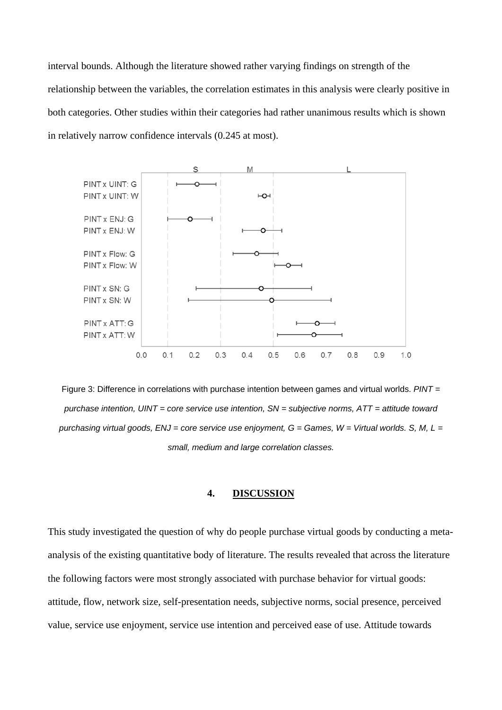interval bounds. Although the literature showed rather varying findings on strength of the relationship between the variables, the correlation estimates in this analysis were clearly positive in both categories. Other studies within their categories had rather unanimous results which is shown in relatively narrow confidence intervals (0.245 at most).



<span id="page-22-0"></span>Figure 3: Difference in correlations with purchase intention between games and virtual worlds. *PINT = purchase intention, UINT = core service use intention, SN = subjective norms, ATT = attitude toward purchasing virtual goods, ENJ = core service use enjoyment, G = Games, W = Virtual worlds. S, M, L = small, medium and large correlation classes.*

#### **4. DISCUSSION**

This study investigated the question of why do people purchase virtual goods by conducting a metaanalysis of the existing quantitative body of literature. The results revealed that across the literature the following factors were most strongly associated with purchase behavior for virtual goods: attitude, flow, network size, self-presentation needs, subjective norms, social presence, perceived value, service use enjoyment, service use intention and perceived ease of use. Attitude towards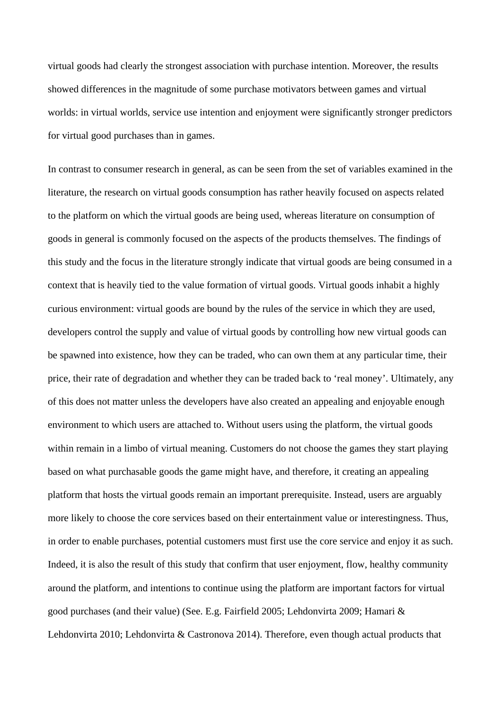virtual goods had clearly the strongest association with purchase intention. Moreover, the results showed differences in the magnitude of some purchase motivators between games and virtual worlds: in virtual worlds, service use intention and enjoyment were significantly stronger predictors for virtual good purchases than in games.

In contrast to consumer research in general, as can be seen from the set of variables examined in the literature, the research on virtual goods consumption has rather heavily focused on aspects related to the platform on which the virtual goods are being used, whereas literature on consumption of goods in general is commonly focused on the aspects of the products themselves. The findings of this study and the focus in the literature strongly indicate that virtual goods are being consumed in a context that is heavily tied to the value formation of virtual goods. Virtual goods inhabit a highly curious environment: virtual goods are bound by the rules of the service in which they are used, developers control the supply and value of virtual goods by controlling how new virtual goods can be spawned into existence, how they can be traded, who can own them at any particular time, their price, their rate of degradation and whether they can be traded back to 'real money'. Ultimately, any of this does not matter unless the developers have also created an appealing and enjoyable enough environment to which users are attached to. Without users using the platform, the virtual goods within remain in a limbo of virtual meaning. Customers do not choose the games they start playing based on what purchasable goods the game might have, and therefore, it creating an appealing platform that hosts the virtual goods remain an important prerequisite. Instead, users are arguably more likely to choose the core services based on their entertainment value or interestingness. Thus, in order to enable purchases, potential customers must first use the core service and enjoy it as such. Indeed, it is also the result of this study that confirm that user enjoyment, flow, healthy community around the platform, and intentions to continue using the platform are important factors for virtual good purchases (and their value) (See. E.g. Fairfield 2005; Lehdonvirta 2009; Hamari & Lehdonvirta 2010; Lehdonvirta & Castronova 2014). Therefore, even though actual products that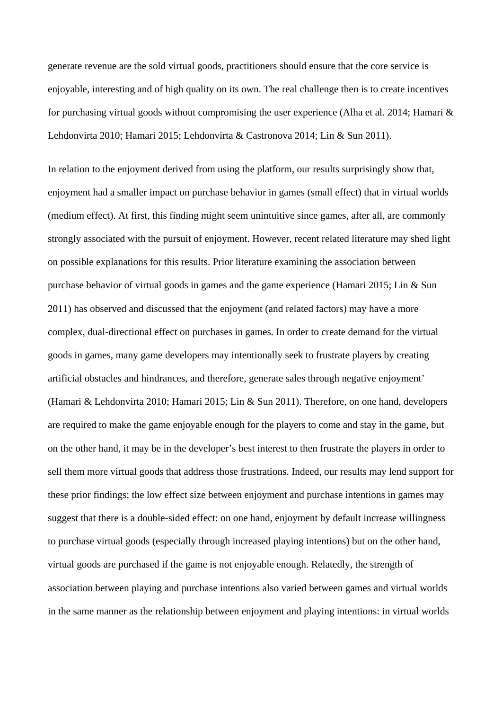generate revenue are the sold virtual goods, practitioners should ensure that the core service is enjoyable, interesting and of high quality on its own. The real challenge then is to create incentives for purchasing virtual goods without compromising the user experience (Alha et al. 2014; Hamari & Lehdonvirta 2010; Hamari 2015; Lehdonvirta & Castronova 2014; Lin & Sun 2011).

In relation to the enjoyment derived from using the platform, our results surprisingly show that, enjoyment had a smaller impact on purchase behavior in games (small effect) that in virtual worlds (medium effect). At first, this finding might seem unintuitive since games, after all, are commonly strongly associated with the pursuit of enjoyment. However, recent related literature may shed light on possible explanations for this results. Prior literature examining the association between purchase behavior of virtual goods in games and the game experience (Hamari 2015; Lin & Sun 2011) has observed and discussed that the enjoyment (and related factors) may have a more complex, dual-directional effect on purchases in games. In order to create demand for the virtual goods in games, many game developers may intentionally seek to frustrate players by creating artificial obstacles and hindrances, and therefore, generate sales through negative enjoyment' (Hamari & Lehdonvirta 2010; Hamari 2015; Lin & Sun 2011). Therefore, on one hand, developers are required to make the game enjoyable enough for the players to come and stay in the game, but on the other hand, it may be in the developer's best interest to then frustrate the players in order to sell them more virtual goods that address those frustrations. Indeed, our results may lend support for these prior findings; the low effect size between enjoyment and purchase intentions in games may suggest that there is a double-sided effect: on one hand, enjoyment by default increase willingness to purchase virtual goods (especially through increased playing intentions) but on the other hand, virtual goods are purchased if the game is not enjoyable enough. Relatedly, the strength of association between playing and purchase intentions also varied between games and virtual worlds in the same manner as the relationship between enjoyment and playing intentions: in virtual worlds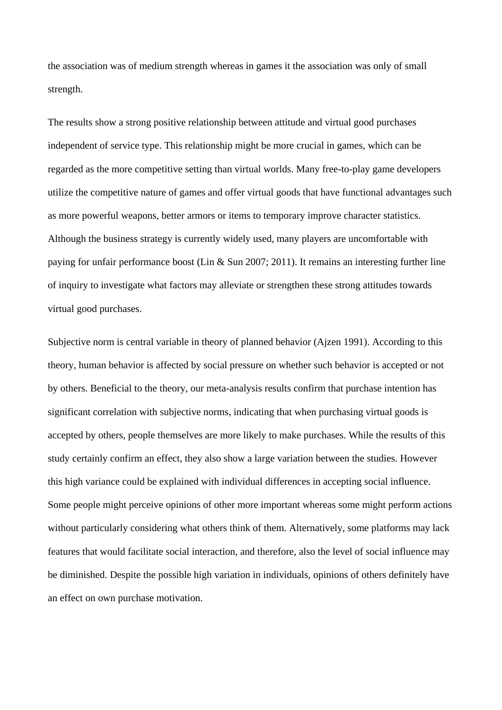the association was of medium strength whereas in games it the association was only of small strength.

The results show a strong positive relationship between attitude and virtual good purchases independent of service type. This relationship might be more crucial in games, which can be regarded as the more competitive setting than virtual worlds. Many free-to-play game developers utilize the competitive nature of games and offer virtual goods that have functional advantages such as more powerful weapons, better armors or items to temporary improve character statistics. Although the business strategy is currently widely used, many players are uncomfortable with paying for unfair performance boost (Lin & Sun 2007; 2011). It remains an interesting further line of inquiry to investigate what factors may alleviate or strengthen these strong attitudes towards virtual good purchases.

Subjective norm is central variable in theory of planned behavior (Ajzen 1991). According to this theory, human behavior is affected by social pressure on whether such behavior is accepted or not by others. Beneficial to the theory, our meta-analysis results confirm that purchase intention has significant correlation with subjective norms, indicating that when purchasing virtual goods is accepted by others, people themselves are more likely to make purchases. While the results of this study certainly confirm an effect, they also show a large variation between the studies. However this high variance could be explained with individual differences in accepting social influence. Some people might perceive opinions of other more important whereas some might perform actions without particularly considering what others think of them. Alternatively, some platforms may lack features that would facilitate social interaction, and therefore, also the level of social influence may be diminished. Despite the possible high variation in individuals, opinions of others definitely have an effect on own purchase motivation.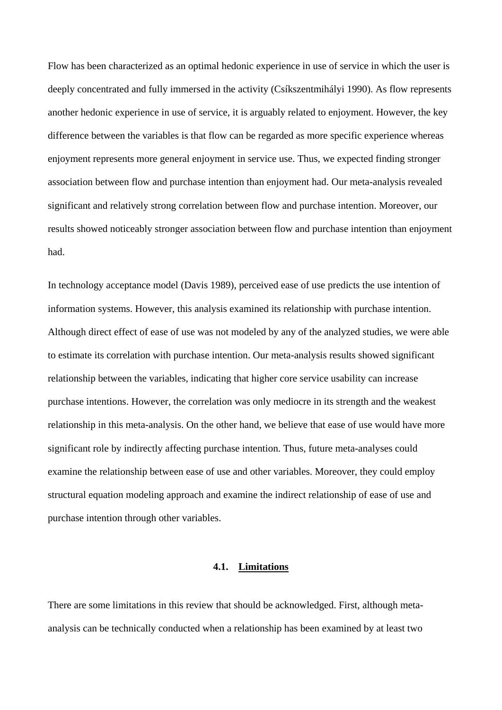Flow has been characterized as an optimal hedonic experience in use of service in which the user is deeply concentrated and fully immersed in the activity (Csíkszentmihályi 1990). As flow represents another hedonic experience in use of service, it is arguably related to enjoyment. However, the key difference between the variables is that flow can be regarded as more specific experience whereas enjoyment represents more general enjoyment in service use. Thus, we expected finding stronger association between flow and purchase intention than enjoyment had. Our meta-analysis revealed significant and relatively strong correlation between flow and purchase intention. Moreover, our results showed noticeably stronger association between flow and purchase intention than enjoyment had.

In technology acceptance model (Davis 1989), perceived ease of use predicts the use intention of information systems. However, this analysis examined its relationship with purchase intention. Although direct effect of ease of use was not modeled by any of the analyzed studies, we were able to estimate its correlation with purchase intention. Our meta-analysis results showed significant relationship between the variables, indicating that higher core service usability can increase purchase intentions. However, the correlation was only mediocre in its strength and the weakest relationship in this meta-analysis. On the other hand, we believe that ease of use would have more significant role by indirectly affecting purchase intention. Thus, future meta-analyses could examine the relationship between ease of use and other variables. Moreover, they could employ structural equation modeling approach and examine the indirect relationship of ease of use and purchase intention through other variables.

## **4.1. Limitations**

There are some limitations in this review that should be acknowledged. First, although metaanalysis can be technically conducted when a relationship has been examined by at least two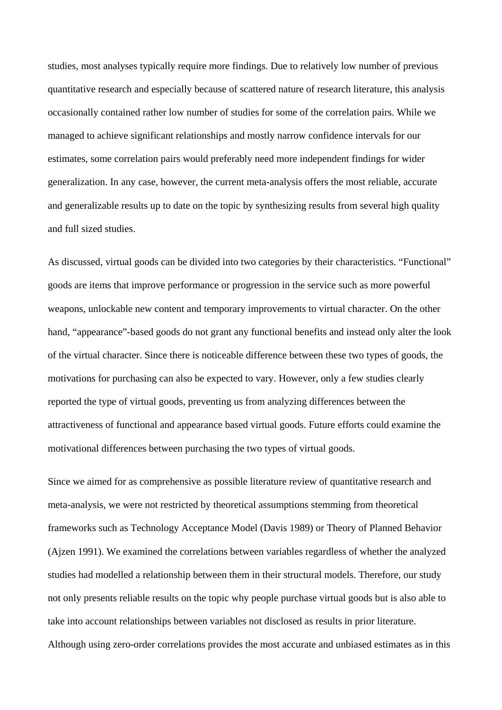studies, most analyses typically require more findings. Due to relatively low number of previous quantitative research and especially because of scattered nature of research literature, this analysis occasionally contained rather low number of studies for some of the correlation pairs. While we managed to achieve significant relationships and mostly narrow confidence intervals for our estimates, some correlation pairs would preferably need more independent findings for wider generalization. In any case, however, the current meta-analysis offers the most reliable, accurate and generalizable results up to date on the topic by synthesizing results from several high quality and full sized studies.

As discussed, virtual goods can be divided into two categories by their characteristics. "Functional" goods are items that improve performance or progression in the service such as more powerful weapons, unlockable new content and temporary improvements to virtual character. On the other hand, "appearance"-based goods do not grant any functional benefits and instead only alter the look of the virtual character. Since there is noticeable difference between these two types of goods, the motivations for purchasing can also be expected to vary. However, only a few studies clearly reported the type of virtual goods, preventing us from analyzing differences between the attractiveness of functional and appearance based virtual goods. Future efforts could examine the motivational differences between purchasing the two types of virtual goods.

Since we aimed for as comprehensive as possible literature review of quantitative research and meta-analysis, we were not restricted by theoretical assumptions stemming from theoretical frameworks such as Technology Acceptance Model (Davis 1989) or Theory of Planned Behavior (Ajzen 1991). We examined the correlations between variables regardless of whether the analyzed studies had modelled a relationship between them in their structural models. Therefore, our study not only presents reliable results on the topic why people purchase virtual goods but is also able to take into account relationships between variables not disclosed as results in prior literature. Although using zero-order correlations provides the most accurate and unbiased estimates as in this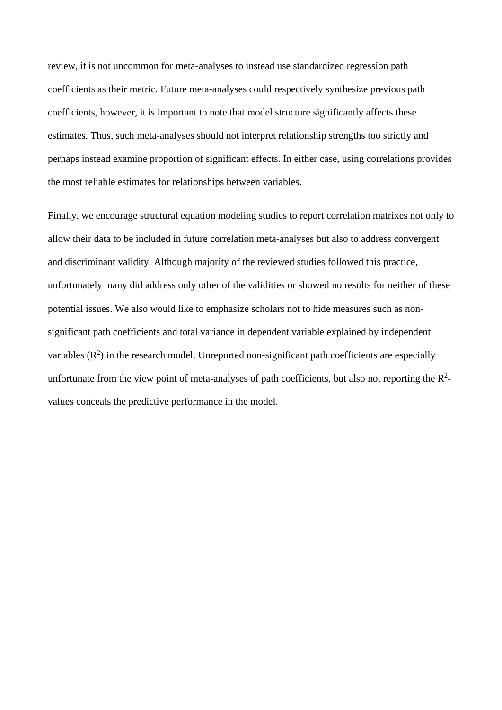review, it is not uncommon for meta-analyses to instead use standardized regression path coefficients as their metric. Future meta-analyses could respectively synthesize previous path coefficients, however, it is important to note that model structure significantly affects these estimates. Thus, such meta-analyses should not interpret relationship strengths too strictly and perhaps instead examine proportion of significant effects. In either case, using correlations provides the most reliable estimates for relationships between variables.

Finally, we encourage structural equation modeling studies to report correlation matrixes not only to allow their data to be included in future correlation meta-analyses but also to address convergent and discriminant validity. Although majority of the reviewed studies followed this practice, unfortunately many did address only other of the validities or showed no results for neither of these potential issues. We also would like to emphasize scholars not to hide measures such as nonsignificant path coefficients and total variance in dependent variable explained by independent variables  $(R^2)$  in the research model. Unreported non-significant path coefficients are especially unfortunate from the view point of meta-analyses of path coefficients, but also not reporting the  $R^2$ values conceals the predictive performance in the model.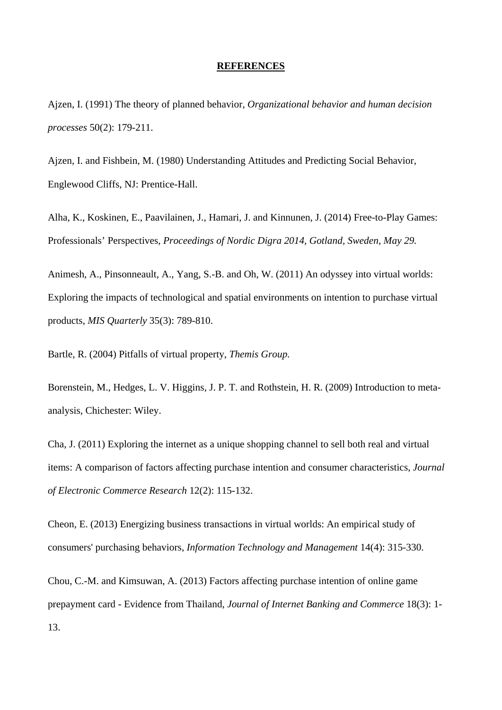#### **REFERENCES**

Ajzen, I. (1991) The theory of planned behavior, *Organizational behavior and human decision processes* 50(2): 179-211.

Ajzen, I. and Fishbein, M. (1980) Understanding Attitudes and Predicting Social Behavior, Englewood Cliffs, NJ: Prentice-Hall.

Alha, K., Koskinen, E., Paavilainen, J., Hamari, J. and Kinnunen, J. (2014) Free-to-Play Games: Professionals' Perspectives, *Proceedings of Nordic Digra 2014, Gotland, Sweden, May 29.*

Animesh, A., Pinsonneault, A., Yang, S.-B. and Oh, W. (2011) An odyssey into virtual worlds: Exploring the impacts of technological and spatial environments on intention to purchase virtual products, *MIS Quarterly* 35(3): 789-810.

Bartle, R. (2004) Pitfalls of virtual property, *Themis Group.*

Borenstein, M., Hedges, L. V. Higgins, J. P. T. and Rothstein, H. R. (2009) Introduction to metaanalysis, Chichester: Wiley.

Cha, J. (2011) Exploring the internet as a unique shopping channel to sell both real and virtual items: A comparison of factors affecting purchase intention and consumer characteristics, *Journal of Electronic Commerce Research* 12(2): 115-132.

Cheon, E. (2013) Energizing business transactions in virtual worlds: An empirical study of consumers' purchasing behaviors, *Information Technology and Management* 14(4): 315-330.

Chou, C.-M. and Kimsuwan, A. (2013) Factors affecting purchase intention of online game prepayment card - Evidence from Thailand, *Journal of Internet Banking and Commerce* 18(3): 1- 13.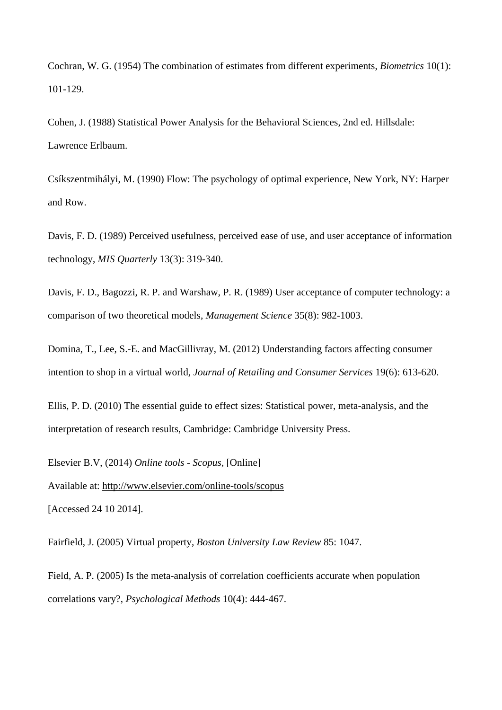Cochran, W. G. (1954) The combination of estimates from different experiments, *Biometrics* 10(1): 101-129.

Cohen, J. (1988) Statistical Power Analysis for the Behavioral Sciences, 2nd ed. Hillsdale: Lawrence Erlbaum.

Csíkszentmihályi, M. (1990) Flow: The psychology of optimal experience, New York, NY: Harper and Row.

Davis, F. D. (1989) Perceived usefulness, perceived ease of use, and user acceptance of information technology, *MIS Quarterly* 13(3): 319-340.

Davis, F. D., Bagozzi, R. P. and Warshaw, P. R. (1989) User acceptance of computer technology: a comparison of two theoretical models, *Management Science* 35(8): 982-1003.

Domina, T., Lee, S.-E. and MacGillivray, M. (2012) Understanding factors affecting consumer intention to shop in a virtual world, *Journal of Retailing and Consumer Services* 19(6): 613-620.

Ellis, P. D. (2010) The essential guide to effect sizes: Statistical power, meta-analysis, and the interpretation of research results, Cambridge: Cambridge University Press.

Elsevier B.V, (2014) *Online tools - Scopus,* [Online]

Available at: http://www.elsevier.com/online-tools/scopus

[Accessed 24 10 2014].

Fairfield, J. (2005) Virtual property, *Boston University Law Review* 85: 1047.

Field, A. P. (2005) Is the meta-analysis of correlation coefficients accurate when population correlations vary?, *Psychological Methods* 10(4): 444-467.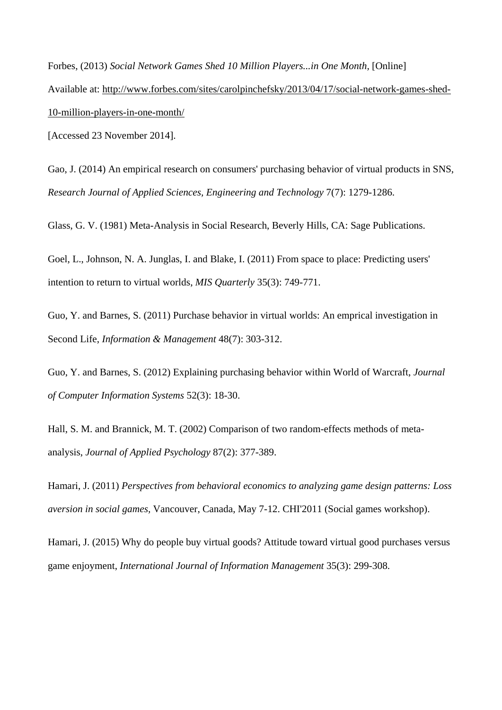Forbes, (2013) *Social Network Games Shed 10 Million Players...in One Month, [Online]* Available at: http://www.forbes.com/sites/carolpinchefsky/2013/04/17/social-network-games-shed-10-million-players-in-one-month/

[Accessed 23 November 2014].

Gao, J. (2014) An empirical research on consumers' purchasing behavior of virtual products in SNS, *Research Journal of Applied Sciences, Engineering and Technology* 7(7): 1279-1286.

Glass, G. V. (1981) Meta-Analysis in Social Research, Beverly Hills, CA: Sage Publications.

Goel, L., Johnson, N. A. Junglas, I. and Blake, I. (2011) From space to place: Predicting users' intention to return to virtual worlds, *MIS Quarterly* 35(3): 749-771.

Guo, Y. and Barnes, S. (2011) Purchase behavior in virtual worlds: An emprical investigation in Second Life, *Information & Management* 48(7): 303-312.

Guo, Y. and Barnes, S. (2012) Explaining purchasing behavior within World of Warcraft, *Journal of Computer Information Systems* 52(3): 18-30.

Hall, S. M. and Brannick, M. T. (2002) Comparison of two random-effects methods of metaanalysis, *Journal of Applied Psychology* 87(2): 377-389.

Hamari, J. (2011) *Perspectives from behavioral economics to analyzing game design patterns: Loss aversion in social games,* Vancouver, Canada, May 7-12. CHI'2011 (Social games workshop).

Hamari, J. (2015) Why do people buy virtual goods? Attitude toward virtual good purchases versus game enjoyment, *International Journal of Information Management* 35(3): 299-308.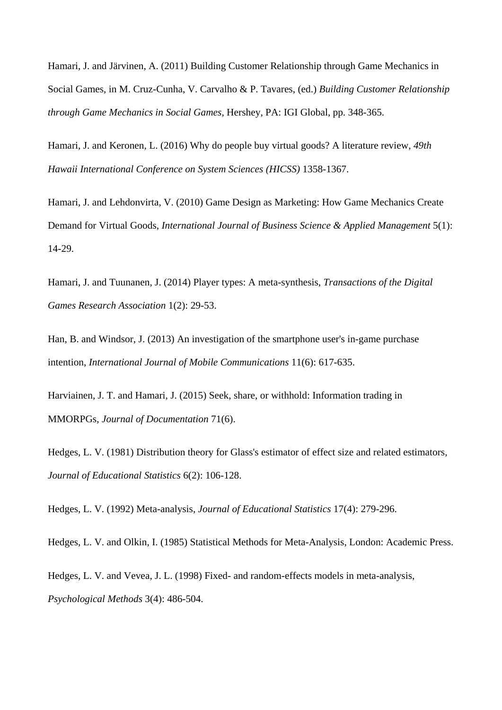Hamari, J. and Järvinen, A. (2011) Building Customer Relationship through Game Mechanics in Social Games, in M. Cruz-Cunha, V. Carvalho & P. Tavares, (ed.) *Building Customer Relationship through Game Mechanics in Social Games,* Hershey, PA: IGI Global, pp. 348-365.

Hamari, J. and Keronen, L. (2016) Why do people buy virtual goods? A literature review, *49th Hawaii International Conference on System Sciences (HICSS)* 1358-1367.

Hamari, J. and Lehdonvirta, V. (2010) Game Design as Marketing: How Game Mechanics Create Demand for Virtual Goods, *International Journal of Business Science & Applied Management* 5(1): 14-29.

Hamari, J. and Tuunanen, J. (2014) Player types: A meta-synthesis, *Transactions of the Digital Games Research Association* 1(2): 29-53.

Han, B. and Windsor, J. (2013) An investigation of the smartphone user's in-game purchase intention, *International Journal of Mobile Communications* 11(6): 617-635.

Harviainen, J. T. and Hamari, J. (2015) Seek, share, or withhold: Information trading in MMORPGs, *Journal of Documentation* 71(6).

Hedges, L. V. (1981) Distribution theory for Glass's estimator of effect size and related estimators, *Journal of Educational Statistics* 6(2): 106-128.

Hedges, L. V. (1992) Meta-analysis, *Journal of Educational Statistics* 17(4): 279-296.

Hedges, L. V. and Olkin, I. (1985) Statistical Methods for Meta-Analysis, London: Academic Press.

Hedges, L. V. and Vevea, J. L. (1998) Fixed- and random-effects models in meta-analysis, *Psychological Methods* 3(4): 486-504.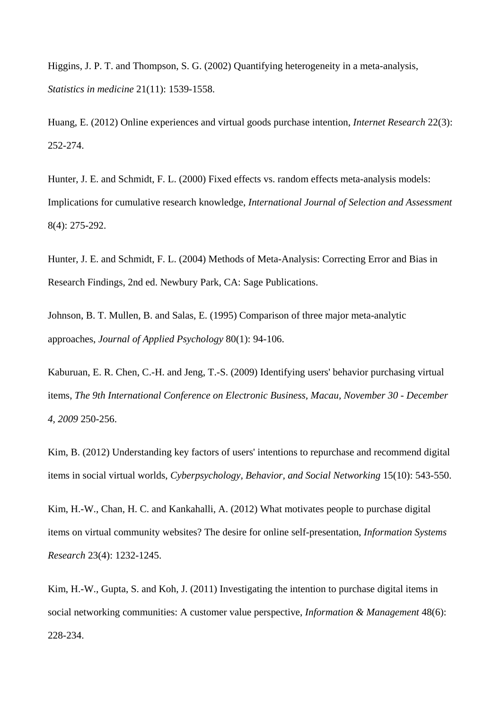Higgins, J. P. T. and Thompson, S. G. (2002) Quantifying heterogeneity in a meta-analysis, *Statistics in medicine* 21(11): 1539-1558.

Huang, E. (2012) Online experiences and virtual goods purchase intention, *Internet Research* 22(3): 252-274.

Hunter, J. E. and Schmidt, F. L. (2000) Fixed effects vs. random effects meta-analysis models: Implications for cumulative research knowledge, *International Journal of Selection and Assessment*  8(4): 275-292.

Hunter, J. E. and Schmidt, F. L. (2004) Methods of Meta-Analysis: Correcting Error and Bias in Research Findings, 2nd ed. Newbury Park, CA: Sage Publications.

Johnson, B. T. Mullen, B. and Salas, E. (1995) Comparison of three major meta-analytic approaches, *Journal of Applied Psychology* 80(1): 94-106.

Kaburuan, E. R. Chen, C.-H. and Jeng, T.-S. (2009) Identifying users' behavior purchasing virtual items, *The 9th International Conference on Electronic Business, Macau, November 30 - December 4, 2009* 250-256.

Kim, B. (2012) Understanding key factors of users' intentions to repurchase and recommend digital items in social virtual worlds, *Cyberpsychology, Behavior, and Social Networking* 15(10): 543-550.

Kim, H.-W., Chan, H. C. and Kankahalli, A. (2012) What motivates people to purchase digital items on virtual community websites? The desire for online self-presentation, *Information Systems Research* 23(4): 1232-1245.

Kim, H.-W., Gupta, S. and Koh, J. (2011) Investigating the intention to purchase digital items in social networking communities: A customer value perspective, *Information & Management* 48(6): 228-234.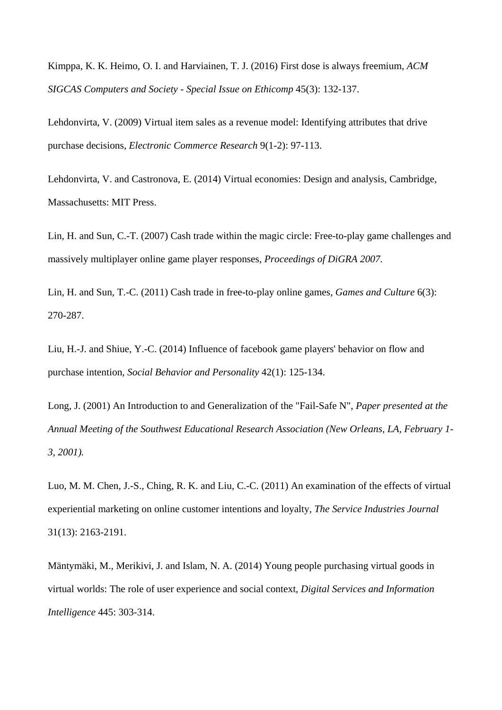Kimppa, K. K. Heimo, O. I. and Harviainen, T. J. (2016) First dose is always freemium, *ACM SIGCAS Computers and Society - Special Issue on Ethicomp* 45(3): 132-137.

Lehdonvirta, V. (2009) Virtual item sales as a revenue model: Identifying attributes that drive purchase decisions, *Electronic Commerce Research* 9(1-2): 97-113.

Lehdonvirta, V. and Castronova, E. (2014) Virtual economies: Design and analysis, Cambridge, Massachusetts: MIT Press.

Lin, H. and Sun, C.-T. (2007) Cash trade within the magic circle: Free-to-play game challenges and massively multiplayer online game player responses, *Proceedings of DiGRA 2007.*

Lin, H. and Sun, T.-C. (2011) Cash trade in free-to-play online games, *Games and Culture* 6(3): 270-287.

Liu, H.-J. and Shiue, Y.-C. (2014) Influence of facebook game players' behavior on flow and purchase intention, *Social Behavior and Personality* 42(1): 125-134.

Long, J. (2001) An Introduction to and Generalization of the "Fail-Safe N", *Paper presented at the Annual Meeting of the Southwest Educational Research Association (New Orleans, LA, February 1- 3, 2001).*

Luo, M. M. Chen, J.-S., Ching, R. K. and Liu, C.-C. (2011) An examination of the effects of virtual experiential marketing on online customer intentions and loyalty, *The Service Industries Journal*  31(13): 2163-2191.

Mäntymäki, M., Merikivi, J. and Islam, N. A. (2014) Young people purchasing virtual goods in virtual worlds: The role of user experience and social context, *Digital Services and Information Intelligence* 445: 303-314.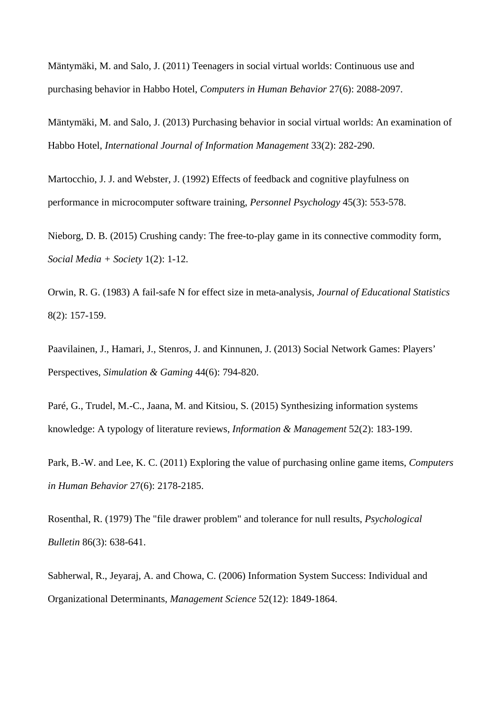Mäntymäki, M. and Salo, J. (2011) Teenagers in social virtual worlds: Continuous use and purchasing behavior in Habbo Hotel, *Computers in Human Behavior* 27(6): 2088-2097.

Mäntymäki, M. and Salo, J. (2013) Purchasing behavior in social virtual worlds: An examination of Habbo Hotel, *International Journal of Information Management* 33(2): 282-290.

Martocchio, J. J. and Webster, J. (1992) Effects of feedback and cognitive playfulness on performance in microcomputer software training, *Personnel Psychology* 45(3): 553-578.

Nieborg, D. B. (2015) Crushing candy: The free-to-play game in its connective commodity form, *Social Media + Society* 1(2): 1-12.

Orwin, R. G. (1983) A fail-safe N for effect size in meta-analysis, *Journal of Educational Statistics*  8(2): 157-159.

Paavilainen, J., Hamari, J., Stenros, J. and Kinnunen, J. (2013) Social Network Games: Players' Perspectives, *Simulation & Gaming* 44(6): 794-820.

Paré, G., Trudel, M.-C., Jaana, M. and Kitsiou, S. (2015) Synthesizing information systems knowledge: A typology of literature reviews, *Information & Management* 52(2): 183-199.

Park, B.-W. and Lee, K. C. (2011) Exploring the value of purchasing online game items, *Computers in Human Behavior* 27(6): 2178-2185.

Rosenthal, R. (1979) The "file drawer problem" and tolerance for null results, *Psychological Bulletin* 86(3): 638-641.

Sabherwal, R., Jeyaraj, A. and Chowa, C. (2006) Information System Success: Individual and Organizational Determinants, *Management Science* 52(12): 1849-1864.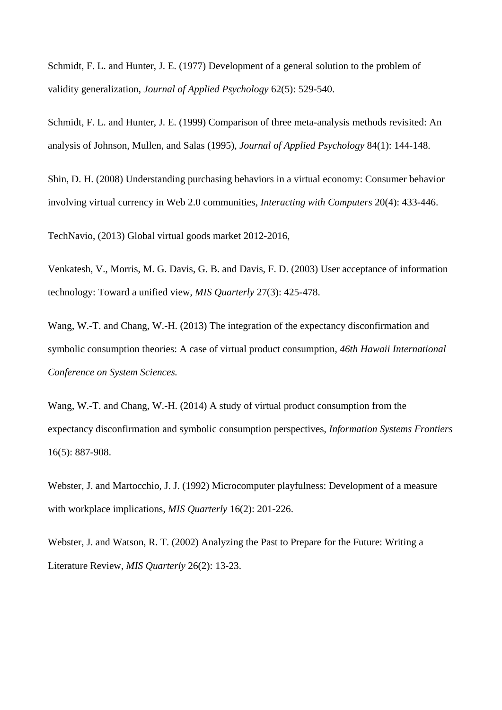Schmidt, F. L. and Hunter, J. E. (1977) Development of a general solution to the problem of validity generalization, *Journal of Applied Psychology* 62(5): 529-540.

Schmidt, F. L. and Hunter, J. E. (1999) Comparison of three meta-analysis methods revisited: An analysis of Johnson, Mullen, and Salas (1995), *Journal of Applied Psychology* 84(1): 144-148.

Shin, D. H. (2008) Understanding purchasing behaviors in a virtual economy: Consumer behavior involving virtual currency in Web 2.0 communities, *Interacting with Computers* 20(4): 433-446.

TechNavio, (2013) Global virtual goods market 2012-2016,

Venkatesh, V., Morris, M. G. Davis, G. B. and Davis, F. D. (2003) User acceptance of information technology: Toward a unified view, *MIS Quarterly* 27(3): 425-478.

Wang, W.-T. and Chang, W.-H. (2013) The integration of the expectancy disconfirmation and symbolic consumption theories: A case of virtual product consumption, *46th Hawaii International Conference on System Sciences.*

Wang, W.-T. and Chang, W.-H. (2014) A study of virtual product consumption from the expectancy disconfirmation and symbolic consumption perspectives, *Information Systems Frontiers*  16(5): 887-908.

Webster, J. and Martocchio, J. J. (1992) Microcomputer playfulness: Development of a measure with workplace implications, *MIS Quarterly* 16(2): 201-226.

Webster, J. and Watson, R. T. (2002) Analyzing the Past to Prepare for the Future: Writing a Literature Review, *MIS Quarterly* 26(2): 13-23.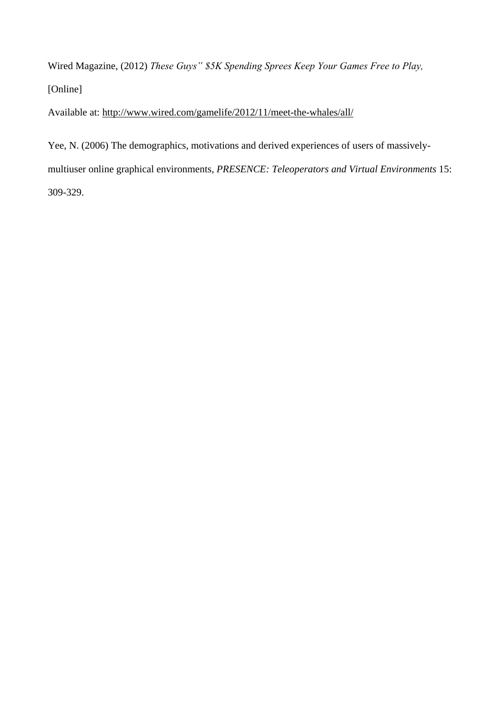Wired Magazine, (2012) *These Guys" \$5K Spending Sprees Keep Your Games Free to Play,*  [Online]

Available at: http://www.wired.com/gamelife/2012/11/meet-the-whales/all/

Yee, N. (2006) The demographics, motivations and derived experiences of users of massivelymultiuser online graphical environments, *PRESENCE: Teleoperators and Virtual Environments* 15: 309-329.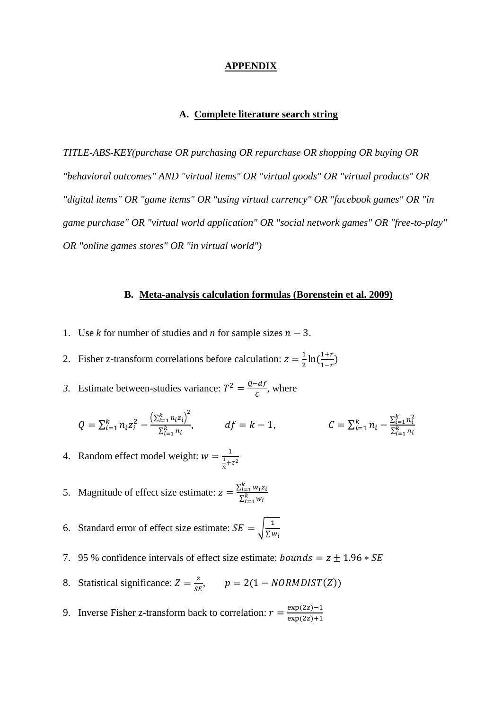## **APPENDIX**

## **A. Complete literature search string**

<span id="page-38-0"></span>*TITLE-ABS-KEY(purchase OR purchasing OR repurchase OR shopping OR buying OR "behavioral outcomes" AND "virtual items" OR "virtual goods" OR "virtual products" OR "digital items" OR "game items" OR "using virtual currency" OR "facebook games" OR "in game purchase" OR "virtual world application" OR "social network games" OR "free-to-play" OR "online games stores" OR "in virtual world")*

#### **B. Meta-analysis calculation formulas (Borenstein et al. 2009)**

- <span id="page-38-1"></span>1. Use *k* for number of studies and *n* for sample sizes  $n - 3$ .
- 2. Fisher z-transform correlations before calculation:  $z = \frac{1}{2} \ln(\frac{1+r}{1-r})$  $\frac{1}{1-r}$
- 3. Estimate between-studies variance:  $T^2 = \frac{Q d_f}{c}$ , where

$$
Q = \sum_{i=1}^{k} n_i z_i^2 - \frac{\left(\sum_{i=1}^{k} n_i z_i\right)^2}{\sum_{i=1}^{k} n_i}, \qquad df = k - 1, \qquad C = \sum_{i=1}^{k} n_i - \frac{\sum_{i=1}^{k} n_i^2}{\sum_{i=1}^{k} n_i}
$$

- 4. Random effect model weight:  $w = \frac{1}{\frac{1}{n} + \tau^2}$
- 5. Magnitude of effect size estimate:  $z = \frac{\sum_{i=1}^{k} w_i z_i}{\sum_{i=1}^{k} w_i}$  $\sum_{i=1}^k w_i$
- 6. Standard error of effect size estimate:  $SE = \sqrt{\frac{1}{\sum w_i}}$
- 7. 95 % confidence intervals of effect size estimate:  $bounds = z \pm 1.96 \times SE$
- 8. Statistical significance:  $Z = \frac{z}{SE}$ ,  $p = 2(1 NORMDIST(Z))$
- 9. Inverse Fisher z-transform back to correlation:  $r = \frac{\exp(2z) 1}{\exp(2z) + 1}$